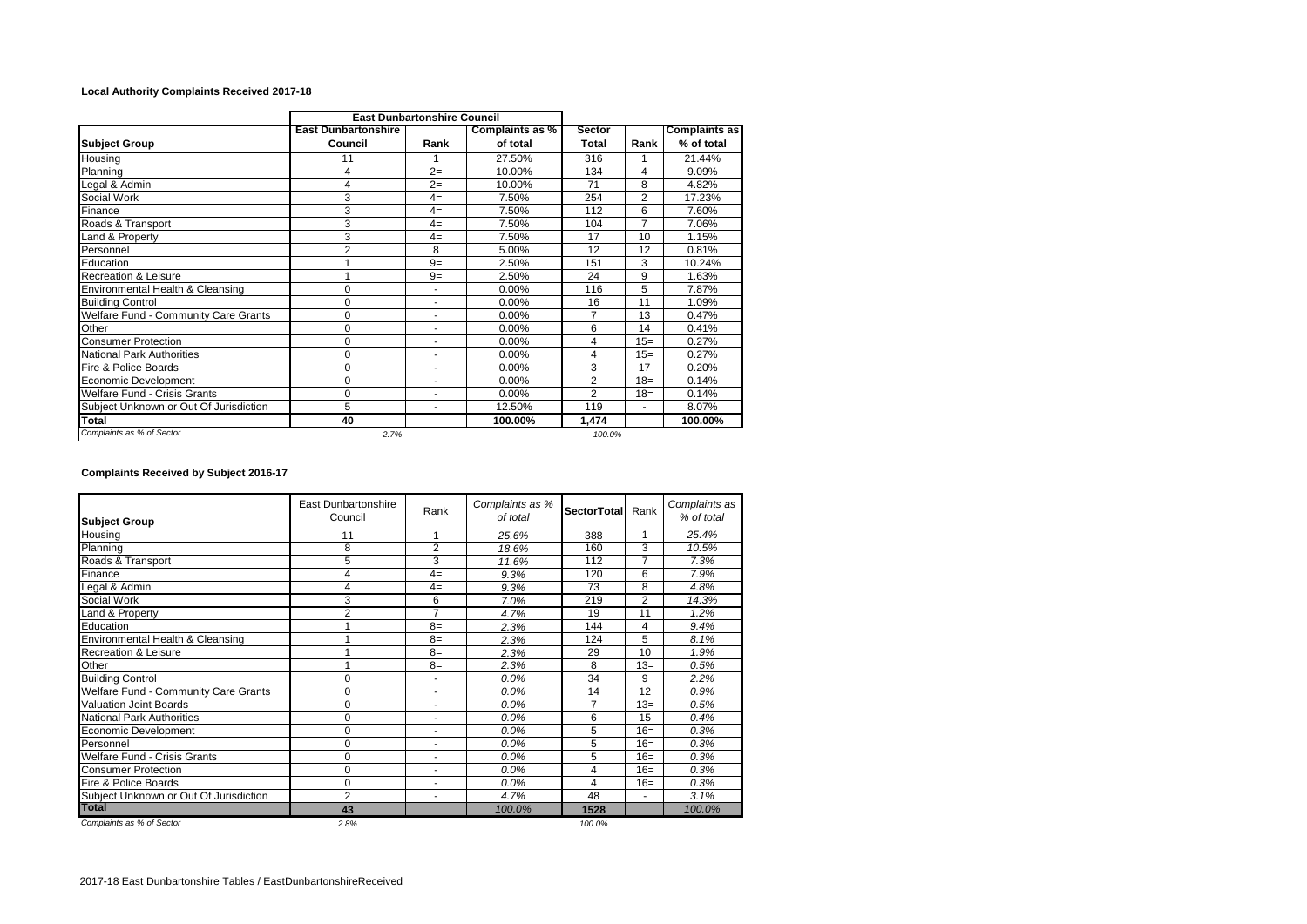## **Local Authority Complaints Received 2017-18**

|                                        | <b>East Dunbartonshire Council</b>    |      |                             |                        |                |                                    |  |
|----------------------------------------|---------------------------------------|------|-----------------------------|------------------------|----------------|------------------------------------|--|
| <b>Subject Group</b>                   | <b>East Dunbartonshire</b><br>Council | Rank | Complaints as %<br>of total | <b>Sector</b><br>Total | Rank           | <b>Complaints as</b><br>% of total |  |
| Housing                                | 11                                    |      | 27.50%                      | 316                    |                | 21.44%                             |  |
| Planning                               | 4                                     | $2=$ | 10.00%                      | 134                    | 4              | 9.09%                              |  |
| Legal & Admin                          | 4                                     | $2=$ | 10.00%                      | 71                     | 8              | 4.82%                              |  |
| Social Work                            | 3                                     | $4=$ | 7.50%                       | 254                    | $\overline{2}$ | 17.23%                             |  |
| Finance                                | 3                                     | $4=$ | 7.50%                       | 112                    | 6              | 7.60%                              |  |
| Roads & Transport                      | 3                                     | $4=$ | 7.50%                       | 104                    | $\overline{7}$ | 7.06%                              |  |
| Land & Property                        | 3                                     | $4=$ | 7.50%                       | 17                     | 10             | 1.15%                              |  |
| Personnel                              | 2                                     | 8    | 5.00%                       | 12                     | 12             | 0.81%                              |  |
| Education                              | 4                                     | $9=$ | 2.50%                       | 151                    | 3              | 10.24%                             |  |
| <b>Recreation &amp; Leisure</b>        |                                       | $9=$ | 2.50%                       | 24                     | 9              | 1.63%                              |  |
| Environmental Health & Cleansing       | $\Omega$                              | ä,   | 0.00%                       | 116                    | 5              | 7.87%                              |  |
| <b>Building Control</b>                | $\mathbf 0$                           | ٠    | 0.00%                       | 16                     | 11             | 1.09%                              |  |
| Welfare Fund - Community Care Grants   | 0                                     |      | 0.00%                       | 7                      | 13             | 0.47%                              |  |
| Other                                  | $\mathbf 0$                           | ٠    | 0.00%                       | 6                      | 14             | 0.41%                              |  |
| <b>Consumer Protection</b>             | $\mathbf 0$                           | ٠    | 0.00%                       | 4                      | $15=$          | 0.27%                              |  |
| <b>National Park Authorities</b>       | $\mathbf 0$                           | ٠    | 0.00%                       | 4                      | $15=$          | 0.27%                              |  |
| Fire & Police Boards                   | $\mathbf 0$                           | ۰    | 0.00%                       | 3                      | 17             | 0.20%                              |  |
| Economic Development                   | 0                                     | ۰    | 0.00%                       | $\overline{2}$         | $18=$          | 0.14%                              |  |
| <b>Welfare Fund - Crisis Grants</b>    | $\mathbf 0$                           |      | 0.00%                       | $\overline{2}$         | $18=$          | 0.14%                              |  |
| Subject Unknown or Out Of Jurisdiction | 5                                     | ۰    | 12.50%                      | 119                    | ٠              | 8.07%                              |  |
| Total                                  | 40                                    |      | 100.00%                     | 1,474                  |                | 100.00%                            |  |
| Complaints as % of Sector              | 2.7%                                  |      |                             | 100.0%                 |                |                                    |  |

## **Complaints Received by Subject 2016-17**

| <b>Subject Group</b>                   | <b>East Dunbartonshire</b><br>Council | Rank           | Complaints as %<br>of total | <b>SectorTotal</b> | Rank            | Complaints as<br>% of total |
|----------------------------------------|---------------------------------------|----------------|-----------------------------|--------------------|-----------------|-----------------------------|
| Housing                                | 11                                    | 1              | 25.6%                       | 388                | 1               | 25.4%                       |
| Planning                               | 8                                     | $\overline{2}$ | 18.6%                       | 160                | 3               | 10.5%                       |
| Roads & Transport                      | 5                                     | 3              | 11.6%                       | 112                | $\overline{7}$  | 7.3%                        |
| Finance                                | 4                                     | $4=$           | 9.3%                        | 120                | 6               | 7.9%                        |
| Legal & Admin                          | 4                                     | $4=$           | 9.3%                        | 73                 | 8               | 4.8%                        |
| Social Work                            | 3                                     | 6              | 7.0%                        | 219                | $\overline{2}$  | 14.3%                       |
| Land & Property                        | $\overline{2}$                        | $\overline{7}$ | 4.7%                        | 19                 | 11              | 1.2%                        |
| Education                              |                                       | $8=$           | 2.3%                        | 144                | 4               | 9.4%                        |
| Environmental Health & Cleansing       |                                       | $8=$           | 2.3%                        | 124                | 5               | 8.1%                        |
| <b>Recreation &amp; Leisure</b>        |                                       | $8=$           | 2.3%                        | 29                 | 10              | 1.9%                        |
| Other                                  |                                       | $8=$           | 2.3%                        | 8                  | $13=$           | 0.5%                        |
| <b>Building Control</b>                | 0                                     | ٠              | 0.0%                        | 34                 | 9               | 2.2%                        |
| Welfare Fund - Community Care Grants   | 0                                     | ٠              | 0.0%                        | 14                 | $\overline{12}$ | 0.9%                        |
| Valuation Joint Boards                 | 0                                     | ۰              | 0.0%                        | 7                  | $13=$           | 0.5%                        |
| <b>National Park Authorities</b>       | 0                                     | ۰              | $0.0\%$                     | 6                  | 15              | 0.4%                        |
| Economic Development                   | 0                                     | ۰              | 0.0%                        | 5                  | $16=$           | 0.3%                        |
| Personnel                              | 0                                     | ٠              | 0.0%                        | 5                  | $16=$           | 0.3%                        |
| Welfare Fund - Crisis Grants           | 0                                     | ٠              | 0.0%                        | 5                  | $16=$           | 0.3%                        |
| <b>Consumer Protection</b>             | 0                                     | ٠              | 0.0%                        | 4                  | $16=$           | 0.3%                        |
| Fire & Police Boards                   | 0                                     | ٠              | 0.0%                        | 4                  | $16=$           | 0.3%                        |
| Subject Unknown or Out Of Jurisdiction | $\overline{2}$                        | ٠              | 4.7%                        | 48                 | ٠               | 3.1%                        |
| <b>Total</b>                           | 43                                    |                | 100.0%                      | 1528               |                 | 100.0%                      |
| Complaints as % of Sector              | 2.8%                                  |                |                             | 100.0%             |                 |                             |